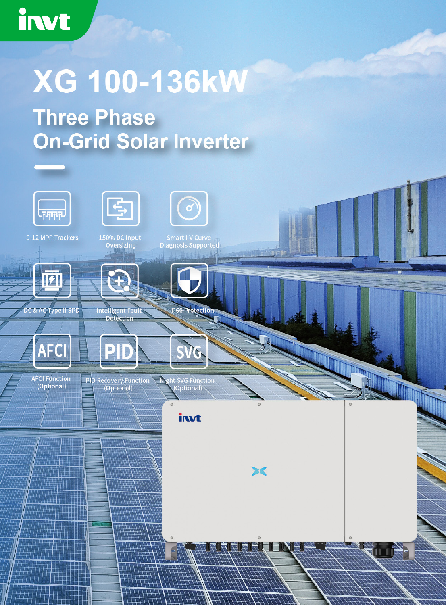## irwt

## **XG 100-136kW**

**Three Phase On-Grid Solar Inverter**